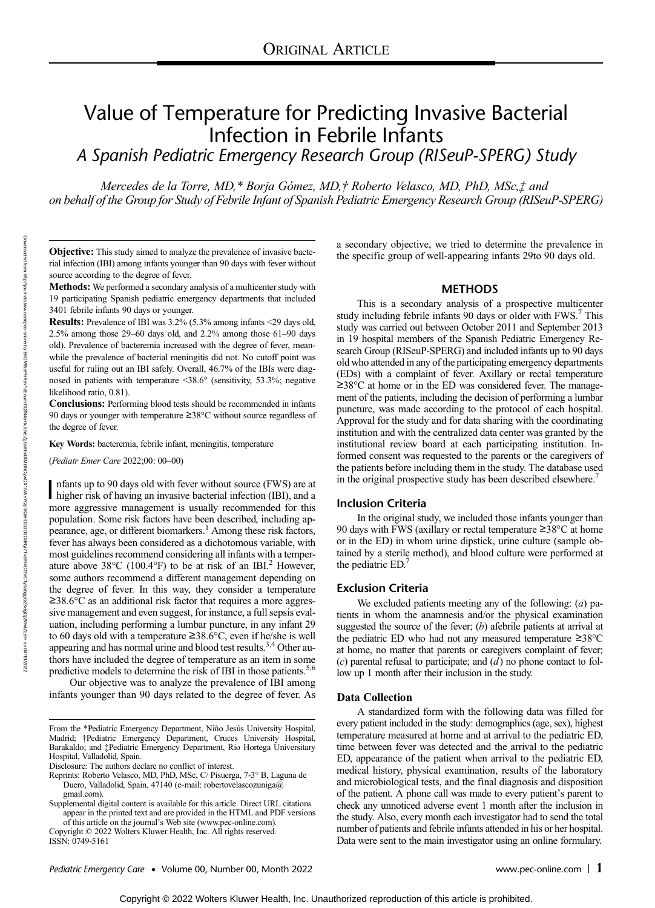# Value of Temperature for Predicting Invasive Bacterial Infection in Febrile Infants

A Spanish Pediatric Emergency Research Group (RISeuP-SPERG) Study

Mercedes de la Torre, MD,\* Borja Gómez, MD,† Roberto Velasco, MD, PhD, MSc,‡ and on behalf of the Group for Study of Febrile Infant of Spanish Pediatric Emergency Research Group (RISeuP-SPERG)

Objective: This study aimed to analyze the prevalence of invasive bacterial infection (IBI) among infants younger than 90 days with fever without source according to the degree of fever.

Methods: We performed a secondary analysis of a multicenter study with 19 participating Spanish pediatric emergency departments that included 3401 febrile infants 90 days or younger.

Results: Prevalence of IBI was 3.2% (5.3% among infants <29 days old, 2.5% among those 29–60 days old, and 2.2% among those 61–90 days old). Prevalence of bacteremia increased with the degree of fever, meanwhile the prevalence of bacterial meningitis did not. No cutoff point was useful for ruling out an IBI safely. Overall, 46.7% of the IBIs were diagnosed in patients with temperature <38.6° (sensitivity, 53.3%; negative likelihood ratio, 0.81).

Conclusions: Performing blood tests should be recommended in infants 90 days or younger with temperature ≥38°C without source regardless of the degree of fever.

Key Words: bacteremia, febrile infant, meningitis, temperature

(Pediatr Emer Care 2022;00: 00–00)

I nfants up to 90 days old with fever without source (FWS) are at higher risk of having an invasive bacterial infection (IBI), and a more aggressive management is usually recommended for this nfants up to 90 days old with fever without source (FWS) are at higher risk of having an invasive bacterial infection (IBI), and a population. Some risk factors have been described, including appearance, age, or different biomarkers.<sup>1</sup> Among these risk factors, fever has always been considered as a dichotomous variable, with most guidelines recommend considering all infants with a temperature above  $38^{\circ}$ C (100.4°F) to be at risk of an IBI.<sup>2</sup> However, some authors recommend a different management depending on the degree of fever. In this way, they consider a temperature ≥38.6°C as an additional risk factor that requires a more aggressive management and even suggest, for instance, a full sepsis evaluation, including performing a lumbar puncture, in any infant 29 to 60 days old with a temperature ≥38.6°C, even if he/she is well appearing and has normal urine and blood test results.<sup>3,4</sup> Other authors have included the degree of temperature as an item in some predictive models to determine the risk of IBI in those patients.<sup>5,6</sup>

Our objective was to analyze the prevalence of IBI among infants younger than 90 days related to the degree of fever. As

Copyright © 2022 Wolters Kluwer Health, Inc. All rights reserved.

a secondary objective, we tried to determine the prevalence in the specific group of well-appearing infants 29to 90 days old.

## **METHODS**

This is a secondary analysis of a prospective multicenter study including febrile infants 90 days or older with FWS.<sup>7</sup> This study was carried out between October 2011 and September 2013 in 19 hospital members of the Spanish Pediatric Emergency Research Group (RISeuP-SPERG) and included infants up to 90 days old who attended in any of the participating emergency departments (EDs) with a complaint of fever. Axillary or rectal temperature ≥38°C at home or in the ED was considered fever. The management of the patients, including the decision of performing a lumbar puncture, was made according to the protocol of each hospital. Approval for the study and for data sharing with the coordinating institution and with the centralized data center was granted by the institutional review board at each participating institution. Informed consent was requested to the parents or the caregivers of the patients before including them in the study. The database used in the original prospective study has been described elsewhere.<sup>7</sup>

## Inclusion Criteria

In the original study, we included those infants younger than 90 days with FWS (axillary or rectal temperature ≥38°C at home or in the ED) in whom urine dipstick, urine culture (sample obtained by a sterile method), and blood culture were performed at the pediatric ED.<sup>7</sup>

## Exclusion Criteria

We excluded patients meeting any of the following:  $(a)$  patients in whom the anamnesis and/or the physical examination suggested the source of the fever;  $(b)$  afebrile patients at arrival at the pediatric ED who had not any measured temperature ≥38°C at home, no matter that parents or caregivers complaint of fever;  $(c)$  parental refusal to participate; and  $(d)$  no phone contact to follow up 1 month after their inclusion in the study.

#### Data Collection

A standardized form with the following data was filled for every patient included in the study: demographics (age, sex), highest temperature measured at home and at arrival to the pediatric ED, time between fever was detected and the arrival to the pediatric ED, appearance of the patient when arrival to the pediatric ED, medical history, physical examination, results of the laboratory and microbiological tests, and the final diagnosis and disposition of the patient. A phone call was made to every patient's parent to check any unnoticed adverse event 1 month after the inclusion in the study. Also, every month each investigator had to send the total number of patients and febrile infants attended in his or her hospital. Data were sent to the main investigator using an online formulary.

Downloaded from

http://journals.lww.com/pec-online

ভ

BhDMf5ePHXav1zEoum1tQfN4a+kJLhEZgbxDXDXDXDXDXDXDXDXDViODQDDDDDXDXDXDDFDFDF18FVC1y0abggQZXQD8DfDF11ZFDF1EFDFDF1

From the \*Pediatric Emergency Department, Niño Jesús University Hospital, Madrid; †Pediatric Emergency Department, Cruces University Hospital, Barakaldo; and ‡Pediatric Emergency Department, Rio Hortega Universitary Hospital, Valladolid, Spain.

Disclosure: The authors declare no conflict of interest.

Reprints: Roberto Velasco, MD, PhD, MSc, C/ Pisuerga, 7-3° B, Laguna de Duero, Valladolid, Spain, 47140 (e-mail: [robertovelascozuniga@](mailto:robertovelascozuniga@gmail.com) [gmail.com](mailto:robertovelascozuniga@gmail.com)).

Supplemental digital content is available for this article. Direct URL citations appear in the printed text and are provided in the HTML and PDF versions of this article on the journal's Web site [\(www.pec-online.com](http://www.pec-online.com)).

ISSN: 0749-5161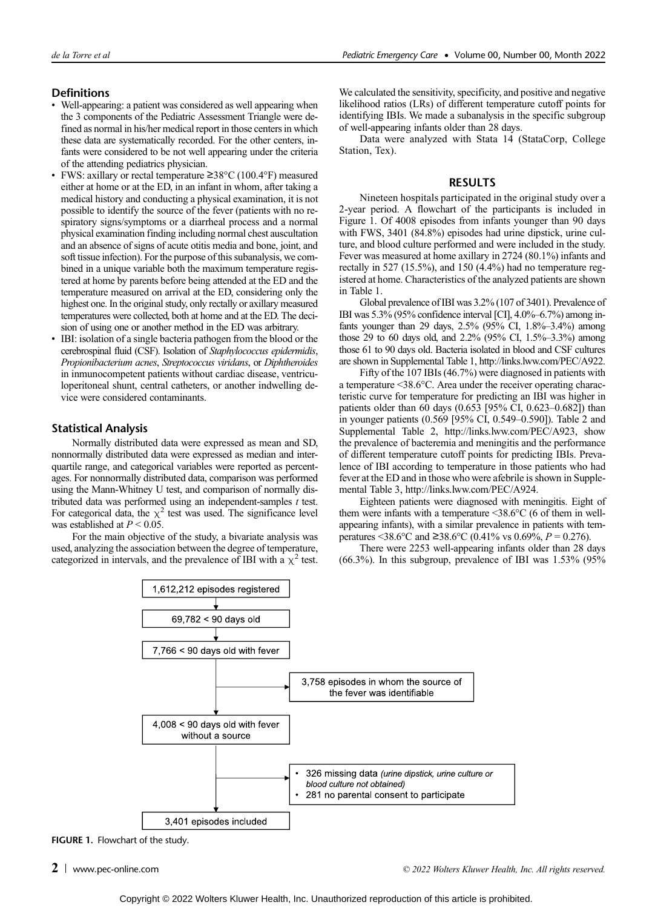## **Definitions**

- Well-appearing: a patient was considered as well appearing when the 3 components of the Pediatric Assessment Triangle were defined as normal in his/her medical report in those centers in which these data are systematically recorded. For the other centers, infants were considered to be not well appearing under the criteria of the attending pediatrics physician.
- FWS: axillary or rectal temperature ≥38°C (100.4°F) measured either at home or at the ED, in an infant in whom, after taking a medical history and conducting a physical examination, it is not possible to identify the source of the fever (patients with no respiratory signs/symptoms or a diarrheal process and a normal physical examination finding including normal chest auscultation and an absence of signs of acute otitis media and bone, joint, and soft tissue infection). For the purpose of this subanalysis, we combined in a unique variable both the maximum temperature registered at home by parents before being attended at the ED and the temperature measured on arrival at the ED, considering only the highest one. In the original study, only rectally or axillary measured temperatures were collected, both at home and at the ED. The decision of using one or another method in the ED was arbitrary.
- IBI: isolation of a single bacteria pathogen from the blood or the cerebrospinal fluid (CSF). Isolation of Staphylococcus epidermidis, Propionibacterium acnes, Streptococcus viridans, or Diphtheroides in inmunocompetent patients without cardiac disease, ventriculoperitoneal shunt, central catheters, or another indwelling device were considered contaminants.

## Statistical Analysis

Normally distributed data were expressed as mean and SD, nonnormally distributed data were expressed as median and interquartile range, and categorical variables were reported as percentages. For nonnormally distributed data, comparison was performed using the Mann-Whitney U test, and comparison of normally distributed data was performed using an independent-samples  $t$  test. For categorical data, the  $\chi^2$  test was used. The significance level was established at  $P < 0.05$ .

For the main objective of the study, a bivariate analysis was used, analyzing the association between the degree of temperature, categorized in intervals, and the prevalence of IBI with a  $\chi^2$  test.

We calculated the sensitivity, specificity, and positive and negative likelihood ratios (LRs) of different temperature cutoff points for identifying IBIs. We made a subanalysis in the specific subgroup of well-appearing infants older than 28 days.

Data were analyzed with Stata 14 (StataCorp, College Station, Tex).

## RESULTS

Nineteen hospitals participated in the original study over a 2-year period. A flowchart of the participants is included in Figure 1. Of 4008 episodes from infants younger than 90 days with FWS, 3401 (84.8%) episodes had urine dipstick, urine culture, and blood culture performed and were included in the study. Fever was measured at home axillary in 2724 (80.1%) infants and rectally in 527 (15.5%), and 150 (4.4%) had no temperature registered at home. Characteristics of the analyzed patients are shown in Table 1.

Global prevalence of IBI was 3.2% (107 of 3401). Prevalence of IBI was 5.3% (95% confidence interval [CI], 4.0%–6.7%) among infants younger than 29 days, 2.5% (95% CI, 1.8%–3.4%) among those 29 to 60 days old, and 2.2% (95% CI, 1.5%–3.3%) among those 61 to 90 days old. Bacteria isolated in blood and CSF cultures are shown in Supplemental Table 1, [http://links.lww.com/PEC/A922.](http://links.lww.com/PEC/A922)

Fifty of the 107 IBIs (46.7%) were diagnosed in patients with a temperature <38.6°C. Area under the receiver operating characteristic curve for temperature for predicting an IBI was higher in patients older than 60 days (0.653 [95% CI, 0.623–0.682]) than in younger patients (0.569 [95% CI, 0.549–0.590]). Table 2 and Supplemental Table 2,<http://links.lww.com/PEC/A923>, show the prevalence of bacteremia and meningitis and the performance of different temperature cutoff points for predicting IBIs. Prevalence of IBI according to temperature in those patients who had fever at the ED and in those who were afebrile is shown in Supplemental Table 3, [http://links.lww.com/PEC/A924.](http://links.lww.com/PEC/A924)

Eighteen patients were diagnosed with meningitis. Eight of them were infants with a temperature <38.6°C (6 of them in wellappearing infants), with a similar prevalence in patients with temperatures <38.6°C and ≥38.6°C (0.41% vs 0.69%,  $P = 0.276$ ).

There were 2253 well-appearing infants older than 28 days  $(66.3\%)$ . In this subgroup, prevalence of IBI was  $1.53\%$   $(95\%$ 



FIGURE 1. Flowchart of the study.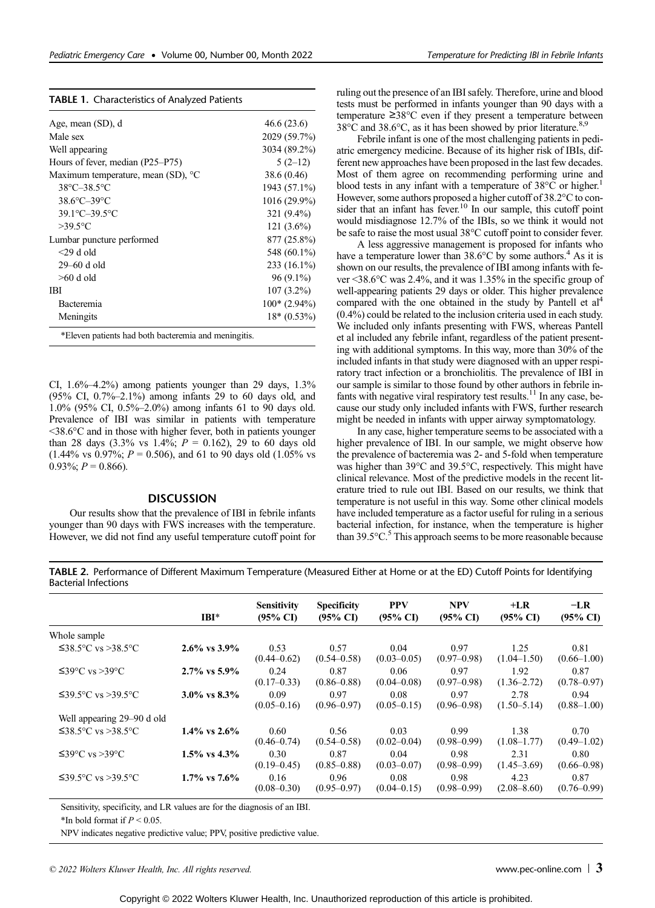|  | TABLE 1. Characteristics of Analyzed Patients |  |  |  |
|--|-----------------------------------------------|--|--|--|
|--|-----------------------------------------------|--|--|--|

| Age, mean (SD), d                  | 46.6(23.6)     |
|------------------------------------|----------------|
| Male sex                           | 2029 (59.7%)   |
| Well appearing                     | 3034 (89.2%)   |
| Hours of fever, median (P25–P75)   | $5(2-12)$      |
| Maximum temperature, mean (SD), °C | 38.6 (0.46)    |
| 38°C-38.5°C                        | 1943 (57.1%)   |
| $38.6^{\circ}$ C $-39^{\circ}$ C   | 1016 (29.9%)   |
| 39.1°C-39.5°C                      | 321 (9.4%)     |
| $>39.5$ °C                         | $121(3.6\%)$   |
| Lumbar puncture performed          | 877 (25.8%)    |
| $<$ 29 d old                       | 548 (60.1%)    |
| 29-60 d old                        | 233 (16.1%)    |
| $>60$ d old                        | $96(9.1\%)$    |
| IBI                                | $107(3.2\%)$   |
| <b>Bacteremia</b>                  | $100*(2.94\%)$ |
| Meningits                          | $18*(0.53\%)$  |

\*Eleven patients had both bacteremia and meningitis.

CI,  $1.6\% - 4.2\%$ ) among patients younger than 29 days,  $1.3\%$ (95% CI, 0.7%–2.1%) among infants 29 to 60 days old, and 1.0% (95% CI, 0.5%–2.0%) among infants 61 to 90 days old. Prevalence of IBI was similar in patients with temperature <38.6°C and in those with higher fever, both in patients younger than 28 days (3.3% vs  $1.4\%$ ;  $P = 0.162$ ), 29 to 60 days old  $(1.44\% \text{ vs } 0.97\%; P = 0.506)$ , and 61 to 90 days old  $(1.05\% \text{ vs } 0.97\%)$  $0.93\%; P = 0.866$ ).

#### **DISCUSSION**

Our results show that the prevalence of IBI in febrile infants younger than 90 days with FWS increases with the temperature. However, we did not find any useful temperature cutoff point for ruling out the presence of an IBI safely. Therefore, urine and blood tests must be performed in infants younger than 90 days with a temperature ≥38°C even if they present a temperature between  $38^{\circ}$ C and  $38.6^{\circ}$ C, as it has been showed by prior literature.<sup>8,9</sup>

Febrile infant is one of the most challenging patients in pediatric emergency medicine. Because of its higher risk of IBIs, different new approaches have been proposed in the last few decades. Most of them agree on recommending performing urine and blood tests in any infant with a temperature of  $38^{\circ}$ C or higher.<sup>1</sup> However, some authors proposed a higher cutoff of 38.2°C to consider that an infant has fever.<sup>10</sup> In our sample, this cutoff point would misdiagnose 12.7% of the IBIs, so we think it would not be safe to raise the most usual 38°C cutoff point to consider fever.

A less aggressive management is proposed for infants who have a temperature lower than  $38.6^{\circ}$ C by some authors.<sup>4</sup> As it is shown on our results, the prevalence of IBI among infants with fever <38.6°C was 2.4%, and it was 1.35% in the specific group of well-appearing patients 29 days or older. This higher prevalence compared with the one obtained in the study by Pantell et al<sup>4</sup> (0.4%) could be related to the inclusion criteria used in each study. We included only infants presenting with FWS, whereas Pantell et al included any febrile infant, regardless of the patient presenting with additional symptoms. In this way, more than 30% of the included infants in that study were diagnosed with an upper respiratory tract infection or a bronchiolitis. The prevalence of IBI in our sample is similar to those found by other authors in febrile infants with negative viral respiratory test results.<sup>11</sup> In any case, because our study only included infants with FWS, further research might be needed in infants with upper airway symptomatology.

In any case, higher temperature seems to be associated with a higher prevalence of IBI. In our sample, we might observe how the prevalence of bacteremia was 2- and 5-fold when temperature was higher than 39°C and 39.5°C, respectively. This might have clinical relevance. Most of the predictive models in the recent literature tried to rule out IBI. Based on our results, we think that temperature is not useful in this way. Some other clinical models have included temperature as a factor useful for ruling in a serious bacterial infection, for instance, when the temperature is higher than  $39.5^{\circ}$ C.<sup>5</sup> This approach seems to be more reasonable because

TABLE 2. Performance of Different Maximum Temperature (Measured Either at Home or at the ED) Cutoff Points for Identifying Bacterial Infections

|                            | $IBI^*$            | <b>Sensitivity</b><br>$(95\% \text{ CI})$ | <b>Specificity</b><br>$(95\% \text{ CI})$ | <b>PPV</b><br>$(95\% \text{ C}I)$ | <b>NPV</b><br>$(95\% \text{ CI})$ | $+LR$<br>$(95\% \text{ CI})$ | $-LR$<br>$(95\% \text{ CI})$ |
|----------------------------|--------------------|-------------------------------------------|-------------------------------------------|-----------------------------------|-----------------------------------|------------------------------|------------------------------|
| Whole sample               |                    |                                           |                                           |                                   |                                   |                              |                              |
| $≤38.5$ °C vs >38.5°C      | $2.6\%$ vs $3.9\%$ | 0.53<br>$(0.44 - 0.62)$                   | 0.57<br>$(0.54 - 0.58)$                   | 0.04<br>$(0.03 - 0.05)$           | 0.97<br>$(0.97 - 0.98)$           | 1.25<br>$(1.04 - 1.50)$      | 0.81<br>$(0.66 - 1.00)$      |
| $≤39°C$ vs >39°C           | $2.7\%$ vs 5.9%    | 0.24<br>$(0.17 - 0.33)$                   | 0.87<br>$(0.86 - 0.88)$                   | 0.06<br>$(0.04 - 0.08)$           | 0.97<br>$(0.97 - 0.98)$           | 1.92<br>$(1.36 - 2.72)$      | 0.87<br>$(0.78 - 0.97)$      |
| $≤39.5$ °C vs >39.5°C      | $3.0\%$ vs $8.3\%$ | 0.09<br>$(0.05 - 0.16)$                   | 0.97<br>$(0.96 - 0.97)$                   | 0.08<br>$(0.05 - 0.15)$           | 0.97<br>$(0.96 - 0.98)$           | 2.78<br>$(1.50 - 5.14)$      | 0.94<br>$(0.88 - 1.00)$      |
| Well appearing 29–90 d old |                    |                                           |                                           |                                   |                                   |                              |                              |
| $≤38.5$ °C vs >38.5°C      | $1.4\%$ vs $2.6\%$ | 0.60<br>$(0.46 - 0.74)$                   | 0.56<br>$(0.54 - 0.58)$                   | 0.03<br>$(0.02 - 0.04)$           | 0.99<br>$(0.98 - 0.99)$           | 1.38<br>$(1.08 - 1.77)$      | 0.70<br>$(0.49 - 1.02)$      |
| $≤39°C$ vs >39°C           | $1.5\%$ vs $4.3\%$ | 0.30<br>$(0.19 - 0.45)$                   | 0.87<br>$(0.85 - 0.88)$                   | 0.04<br>$(0.03 - 0.07)$           | 0.98<br>$(0.98 - 0.99)$           | 2.31<br>$(1.45 - 3.69)$      | 0.80<br>$(0.66 - 0.98)$      |
| $≤39.5$ °C vs >39.5°C      | $1.7\%$ vs $7.6\%$ | 0.16<br>$(0.08 - 0.30)$                   | 0.96<br>$(0.95 - 0.97)$                   | 0.08<br>$(0.04 - 0.15)$           | 0.98<br>$(0.98 - 0.99)$           | 4.23<br>$(2.08 - 8.60)$      | 0.87<br>$(0.76 - 0.99)$      |

Sensitivity, specificity, and LR values are for the diagnosis of an IBI.

\*In bold format if  $P \leq 0.05$ .

NPV indicates negative predictive value; PPV, positive predictive value.

© 2022 Wolters Kluwer Health, Inc. All rights reserved.  $\Box$  3